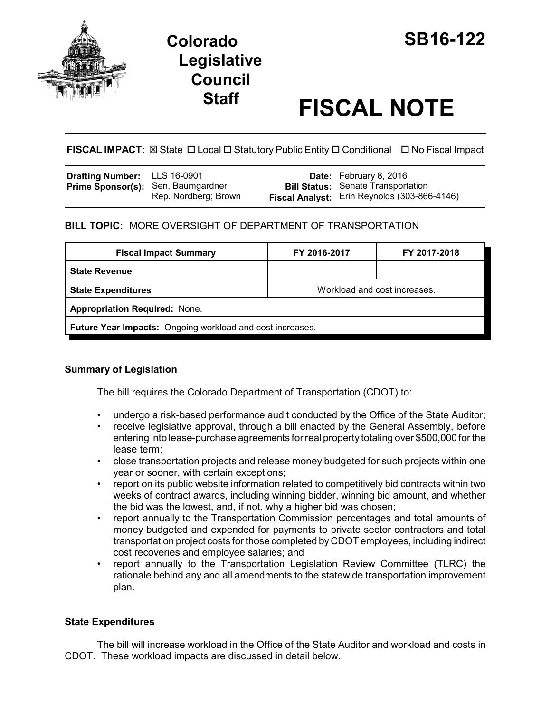

# **Staff FISCAL NOTE**

**FISCAL IMPACT:** ⊠ State □ Local □ Statutory Public Entity □ Conditional □ No Fiscal Impact

| Drafting Number: LLS 16-0901              |                      | <b>Date:</b> February 8, 2016                       |
|-------------------------------------------|----------------------|-----------------------------------------------------|
| <b>Prime Sponsor(s): Sen. Baumgardner</b> |                      | <b>Bill Status:</b> Senate Transportation           |
|                                           | Rep. Nordberg: Brown | <b>Fiscal Analyst:</b> Erin Reynolds (303-866-4146) |

## **BILL TOPIC:** MORE OVERSIGHT OF DEPARTMENT OF TRANSPORTATION

| <b>Fiscal Impact Summary</b>                              | FY 2016-2017                 | FY 2017-2018 |  |  |  |
|-----------------------------------------------------------|------------------------------|--------------|--|--|--|
| l State Revenue                                           |                              |              |  |  |  |
| <b>State Expenditures</b>                                 | Workload and cost increases. |              |  |  |  |
| <b>Appropriation Required: None.</b>                      |                              |              |  |  |  |
| Future Year Impacts: Ongoing workload and cost increases. |                              |              |  |  |  |

## **Summary of Legislation**

The bill requires the Colorado Department of Transportation (CDOT) to:

- undergo a risk-based performance audit conducted by the Office of the State Auditor;
- receive legislative approval, through a bill enacted by the General Assembly, before entering into lease-purchase agreements for real property totaling over \$500,000 for the lease term;
- close transportation projects and release money budgeted for such projects within one year or sooner, with certain exceptions;
- report on its public website information related to competitively bid contracts within two weeks of contract awards, including winning bidder, winning bid amount, and whether the bid was the lowest, and, if not, why a higher bid was chosen;
- report annually to the Transportation Commission percentages and total amounts of money budgeted and expended for payments to private sector contractors and total transportation project costs for those completed by CDOT employees, including indirect cost recoveries and employee salaries; and
- report annually to the Transportation Legislation Review Committee (TLRC) the rationale behind any and all amendments to the statewide transportation improvement plan.

## **State Expenditures**

The bill will increase workload in the Office of the State Auditor and workload and costs in CDOT. These workload impacts are discussed in detail below.